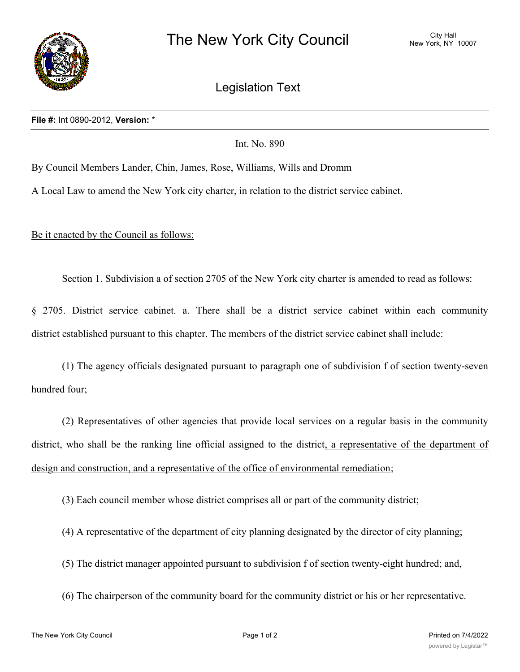

Legislation Text

Int. No. 890

By Council Members Lander, Chin, James, Rose, Williams, Wills and Dromm

A Local Law to amend the New York city charter, in relation to the district service cabinet.

Be it enacted by the Council as follows:

Section 1. Subdivision a of section 2705 of the New York city charter is amended to read as follows:

§ 2705. District service cabinet. a. There shall be a district service cabinet within each community district established pursuant to this chapter. The members of the district service cabinet shall include:

(1) The agency officials designated pursuant to paragraph one of subdivision f of section twenty-seven hundred four;

(2) Representatives of other agencies that provide local services on a regular basis in the community district, who shall be the ranking line official assigned to the district, a representative of the department of design and construction, and a representative of the office of environmental remediation;

(3) Each council member whose district comprises all or part of the community district;

- (4) A representative of the department of city planning designated by the director of city planning;
- (5) The district manager appointed pursuant to subdivision f of section twenty-eight hundred; and,
- (6) The chairperson of the community board for the community district or his or her representative.